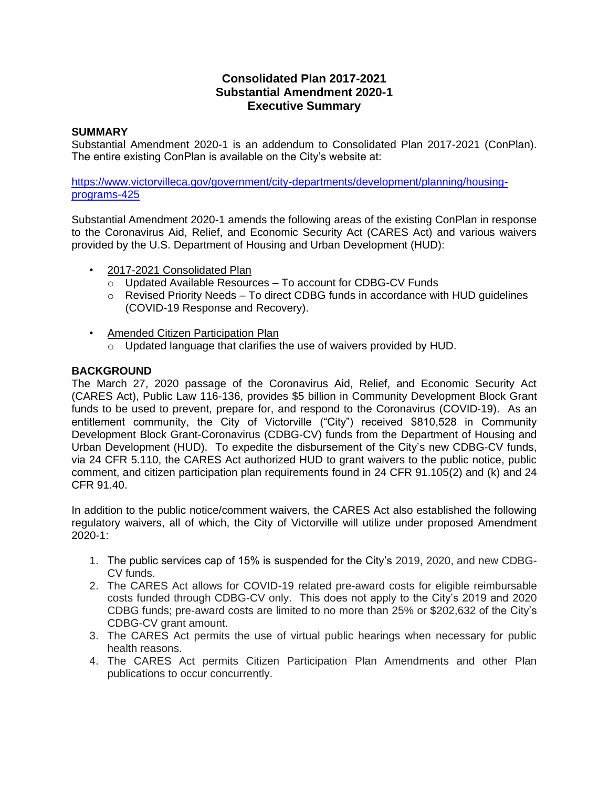## **Consolidated Plan 2017-2021 Substantial Amendment 2020-1 Executive Summary**

## **SUMMARY**

Substantial Amendment 2020-1 is an addendum to Consolidated Plan 2017-2021 (ConPlan). The entire existing ConPlan is available on the City's website at:

[https://www.victorvilleca.gov/government/city-departments/development/planning/housing](https://www.victorvilleca.gov/government/city-departments/development/planning/housing-programs-425)[programs-425](https://www.victorvilleca.gov/government/city-departments/development/planning/housing-programs-425)

Substantial Amendment 2020-1 amends the following areas of the existing ConPlan in response to the Coronavirus Aid, Relief, and Economic Security Act (CARES Act) and various waivers provided by the U.S. Department of Housing and Urban Development (HUD):

- 2017-2021 Consolidated Plan
	- o Updated Available Resources To account for CDBG-CV Funds
	- o Revised Priority Needs To direct CDBG funds in accordance with HUD guidelines (COVID-19 Response and Recovery).
- Amended Citizen Participation Plan
	- $\overline{\circ}$  Updated language that clarifies the use of waivers provided by HUD.

## **BACKGROUND**

The March 27, 2020 passage of the Coronavirus Aid, Relief, and Economic Security Act (CARES Act), Public Law 116-136, provides \$5 billion in Community Development Block Grant funds to be used to prevent, prepare for, and respond to the Coronavirus (COVID-19). As an entitlement community, the City of Victorville ("City") received \$810,528 in Community Development Block Grant-Coronavirus (CDBG-CV) funds from the Department of Housing and Urban Development (HUD). To expedite the disbursement of the City's new CDBG-CV funds, via 24 CFR 5.110, the CARES Act authorized HUD to grant waivers to the public notice, public comment, and citizen participation plan requirements found in 24 CFR 91.105(2) and (k) and 24 CFR 91.40.

In addition to the public notice/comment waivers, the CARES Act also established the following regulatory waivers, all of which, the City of Victorville will utilize under proposed Amendment 2020-1:

- 1. The public services cap of 15% is suspended for the City's 2019, 2020, and new CDBG-CV funds.
- 2. The CARES Act allows for COVID-19 related pre-award costs for eligible reimbursable costs funded through CDBG-CV only. This does not apply to the City's 2019 and 2020 CDBG funds; pre-award costs are limited to no more than 25% or \$202,632 of the City's CDBG-CV grant amount.
- 3. The CARES Act permits the use of virtual public hearings when necessary for public health reasons.
- 4. The CARES Act permits Citizen Participation Plan Amendments and other Plan publications to occur concurrently.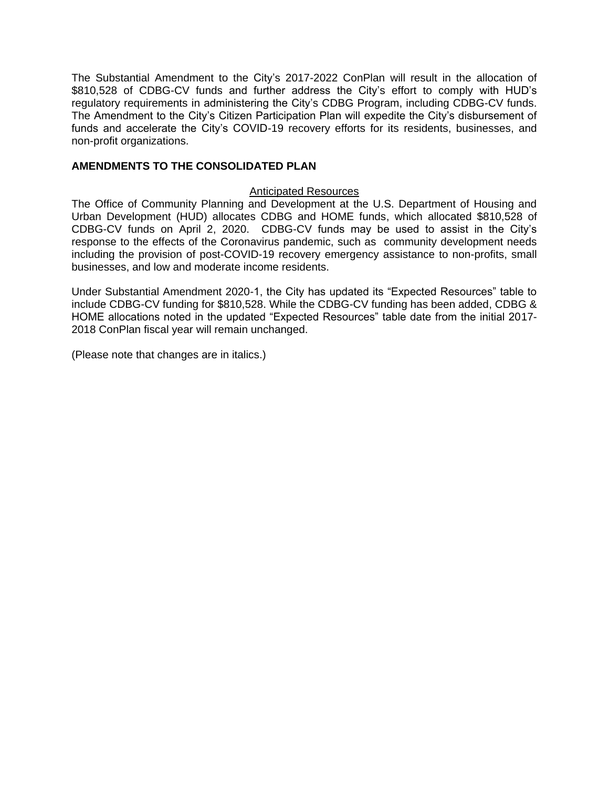The Substantial Amendment to the City's 2017-2022 ConPlan will result in the allocation of \$810,528 of CDBG-CV funds and further address the City's effort to comply with HUD's regulatory requirements in administering the City's CDBG Program, including CDBG-CV funds. The Amendment to the City's Citizen Participation Plan will expedite the City's disbursement of funds and accelerate the City's COVID-19 recovery efforts for its residents, businesses, and non-profit organizations.

## **AMENDMENTS TO THE CONSOLIDATED PLAN**

#### Anticipated Resources

The Office of Community Planning and Development at the U.S. Department of Housing and Urban Development (HUD) allocates CDBG and HOME funds, which allocated \$810,528 of CDBG-CV funds on April 2, 2020. CDBG-CV funds may be used to assist in the City's response to the effects of the Coronavirus pandemic, such as community development needs including the provision of post-COVID-19 recovery emergency assistance to non-profits, small businesses, and low and moderate income residents.

Under Substantial Amendment 2020-1, the City has updated its "Expected Resources" table to include CDBG-CV funding for \$810,528. While the CDBG-CV funding has been added, CDBG & HOME allocations noted in the updated "Expected Resources" table date from the initial 2017- 2018 ConPlan fiscal year will remain unchanged.

(Please note that changes are in italics.)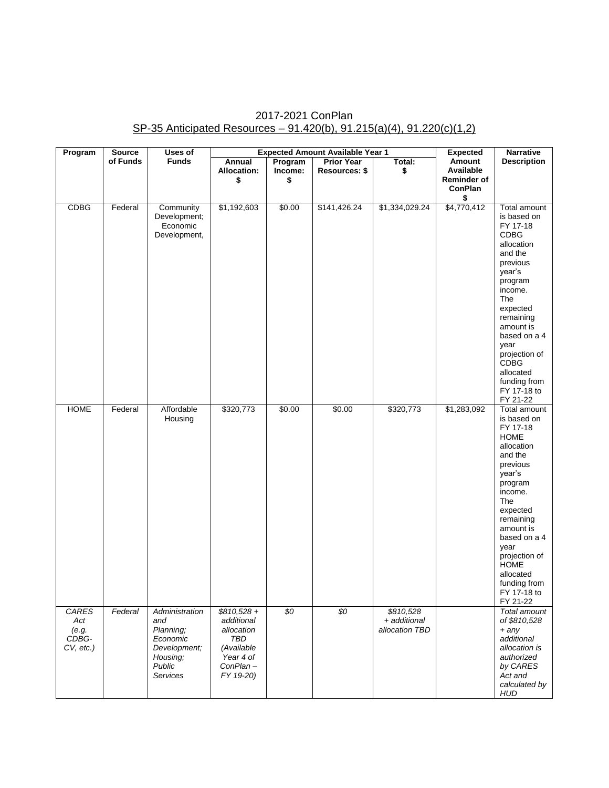# 2017-2021 ConPlan SP-35 Anticipated Resources – 91.420(b), 91.215(a)(4), 91.220(c)(1,2)

| Program                                        | <b>Source</b> | Uses of                                                                                                 | <b>Expected Amount Available Year 1</b>                                                                    |                          |                                    | <b>Expected</b>                             | <b>Narrative</b>                                                  |                                                                                                                                                                                                                                                                                          |
|------------------------------------------------|---------------|---------------------------------------------------------------------------------------------------------|------------------------------------------------------------------------------------------------------------|--------------------------|------------------------------------|---------------------------------------------|-------------------------------------------------------------------|------------------------------------------------------------------------------------------------------------------------------------------------------------------------------------------------------------------------------------------------------------------------------------------|
|                                                | of Funds      | <b>Funds</b>                                                                                            | Annual<br><b>Allocation:</b><br>\$                                                                         | Program<br>Income:<br>\$ | <b>Prior Year</b><br>Resources: \$ | Total:<br>\$                                | Amount<br>Available<br><b>Reminder of</b><br><b>ConPlan</b><br>\$ | <b>Description</b>                                                                                                                                                                                                                                                                       |
| <b>CDBG</b>                                    | Federal       | Community<br>Development;<br>Economic<br>Development,                                                   | \$1,192,603                                                                                                | \$0.00                   | \$141,426.24                       | \$1,334,029.24                              | \$4,770,412                                                       | Total amount<br>is based on<br>FY 17-18<br><b>CDBG</b><br>allocation<br>and the<br>previous<br>year's<br>program<br>income.<br>The<br>expected<br>remaining<br>amount is<br>based on a 4<br>year<br>projection of<br><b>CDBG</b><br>allocated<br>funding from<br>FY 17-18 to<br>FY 21-22 |
| <b>HOME</b>                                    | Federal       | Affordable<br>Housing                                                                                   | \$320,773                                                                                                  | \$0.00                   | \$0.00                             | \$320,773                                   | $\sqrt{31,283,092}$                                               | Total amount<br>is based on<br>FY 17-18<br><b>HOME</b><br>allocation<br>and the<br>previous<br>year's<br>program<br>income.<br>The<br>expected<br>remaining<br>amount is<br>based on a 4<br>year<br>projection of<br><b>HOME</b><br>allocated<br>funding from<br>FY 17-18 to<br>FY 21-22 |
| CARES<br>Act<br>(e.g.<br>CDBG-<br>$CV, etc.$ ) | Federal       | Administration<br>and<br>Planning;<br>Economic<br>Development;<br>Housing;<br>Public<br><b>Services</b> | $$810,528 +$<br>additional<br>allocation<br><b>TBD</b><br>(Available<br>Year 4 of<br>ConPlan-<br>FY 19-20) | $\overline{50}$          | $\overline{50}$                    | \$810,528<br>+ additional<br>allocation TBD |                                                                   | Total amount<br>of \$810,528<br>$+$ any<br>additional<br>allocation is<br>authorized<br>by CARES<br>Act and<br>calculated by<br><b>HUD</b>                                                                                                                                               |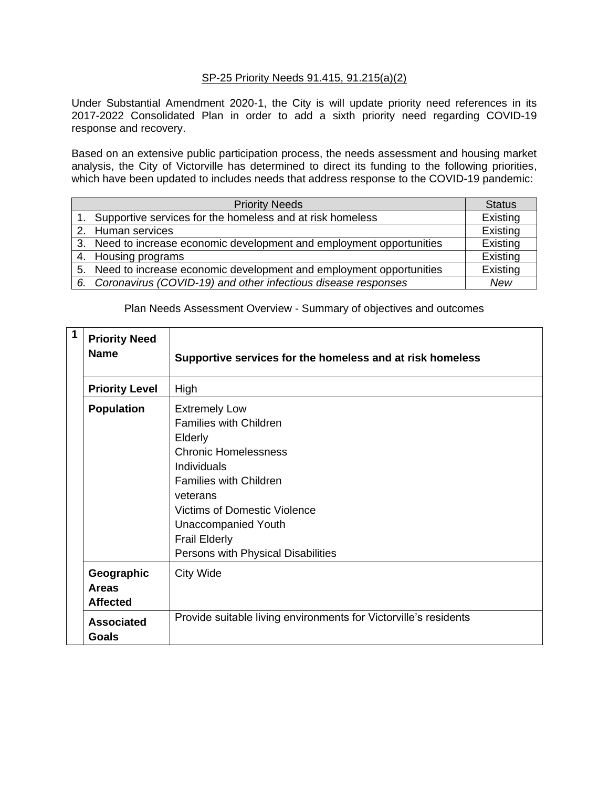## SP-25 Priority Needs 91.415, 91.215(a)(2)

Under Substantial Amendment 2020-1, the City is will update priority need references in its 2017-2022 Consolidated Plan in order to add a sixth priority need regarding COVID-19 response and recovery.

Based on an extensive public participation process, the needs assessment and housing market analysis, the City of Victorville has determined to direct its funding to the following priorities, which have been updated to includes needs that address response to the COVID-19 pandemic:

|    | <b>Priority Needs</b>                                                 | <b>Status</b> |
|----|-----------------------------------------------------------------------|---------------|
|    | 1. Supportive services for the homeless and at risk homeless          | Existing      |
|    | 2. Human services                                                     | Existing      |
|    | 3. Need to increase economic development and employment opportunities | Existing      |
|    | 4. Housing programs                                                   | Existing      |
|    | 5. Need to increase economic development and employment opportunities | Existing      |
| 6. | Coronavirus (COVID-19) and other infectious disease responses         | New           |

## Plan Needs Assessment Overview - Summary of objectives and outcomes

| 1 | <b>Priority Need</b><br><b>Name</b>           | Supportive services for the homeless and at risk homeless                                                                                                                                                                                                                                      |
|---|-----------------------------------------------|------------------------------------------------------------------------------------------------------------------------------------------------------------------------------------------------------------------------------------------------------------------------------------------------|
|   | <b>Priority Level</b>                         | High                                                                                                                                                                                                                                                                                           |
|   | <b>Population</b>                             | <b>Extremely Low</b><br><b>Families with Children</b><br>Elderly<br><b>Chronic Homelessness</b><br>Individuals<br><b>Families with Children</b><br>veterans<br><b>Victims of Domestic Violence</b><br><b>Unaccompanied Youth</b><br><b>Frail Elderly</b><br>Persons with Physical Disabilities |
|   | Geographic<br><b>Areas</b><br><b>Affected</b> | City Wide                                                                                                                                                                                                                                                                                      |
|   | <b>Associated</b><br><b>Goals</b>             | Provide suitable living environments for Victorville's residents                                                                                                                                                                                                                               |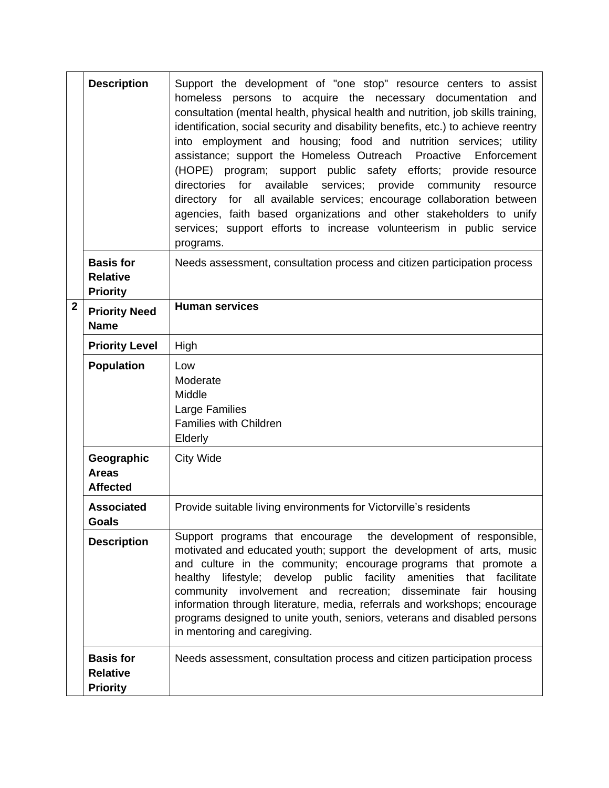|                                                                   | <b>Description</b>                                     | Support the development of "one stop" resource centers to assist<br>homeless persons to acquire the necessary documentation and<br>consultation (mental health, physical health and nutrition, job skills training,<br>identification, social security and disability benefits, etc.) to achieve reentry<br>into employment and housing; food and nutrition services; utility<br>assistance; support the Homeless Outreach Proactive Enforcement<br>(HOPE) program; support public safety efforts; provide resource<br>directories for available services; provide community resource<br>directory for all available services; encourage collaboration between<br>agencies, faith based organizations and other stakeholders to unify<br>services; support efforts to increase volunteerism in public service<br>programs. |  |  |
|-------------------------------------------------------------------|--------------------------------------------------------|----------------------------------------------------------------------------------------------------------------------------------------------------------------------------------------------------------------------------------------------------------------------------------------------------------------------------------------------------------------------------------------------------------------------------------------------------------------------------------------------------------------------------------------------------------------------------------------------------------------------------------------------------------------------------------------------------------------------------------------------------------------------------------------------------------------------------|--|--|
|                                                                   | <b>Basis for</b><br><b>Relative</b><br><b>Priority</b> | Needs assessment, consultation process and citizen participation process                                                                                                                                                                                                                                                                                                                                                                                                                                                                                                                                                                                                                                                                                                                                                   |  |  |
| $\mathbf{2}$                                                      | <b>Priority Need</b><br><b>Name</b>                    | <b>Human services</b>                                                                                                                                                                                                                                                                                                                                                                                                                                                                                                                                                                                                                                                                                                                                                                                                      |  |  |
|                                                                   | <b>Priority Level</b>                                  | High                                                                                                                                                                                                                                                                                                                                                                                                                                                                                                                                                                                                                                                                                                                                                                                                                       |  |  |
|                                                                   | <b>Population</b>                                      | Low<br>Moderate<br>Middle<br>Large Families<br><b>Families with Children</b><br>Elderly                                                                                                                                                                                                                                                                                                                                                                                                                                                                                                                                                                                                                                                                                                                                    |  |  |
| Geographic<br><b>City Wide</b><br><b>Areas</b><br><b>Affected</b> |                                                        |                                                                                                                                                                                                                                                                                                                                                                                                                                                                                                                                                                                                                                                                                                                                                                                                                            |  |  |
|                                                                   | <b>Associated</b><br><b>Goals</b>                      | Provide suitable living environments for Victorville's residents                                                                                                                                                                                                                                                                                                                                                                                                                                                                                                                                                                                                                                                                                                                                                           |  |  |
|                                                                   | <b>Description</b>                                     | Support programs that encourage the development of responsible,<br>motivated and educated youth; support the development of arts, music<br>and culture in the community; encourage programs that promote a<br>healthy lifestyle; develop public facility amenities that facilitate<br>community involvement and recreation;<br>disseminate<br>fair<br>housing<br>information through literature, media, referrals and workshops; encourage<br>programs designed to unite youth, seniors, veterans and disabled persons<br>in mentoring and caregiving.                                                                                                                                                                                                                                                                     |  |  |
|                                                                   | <b>Basis for</b><br><b>Relative</b><br><b>Priority</b> | Needs assessment, consultation process and citizen participation process                                                                                                                                                                                                                                                                                                                                                                                                                                                                                                                                                                                                                                                                                                                                                   |  |  |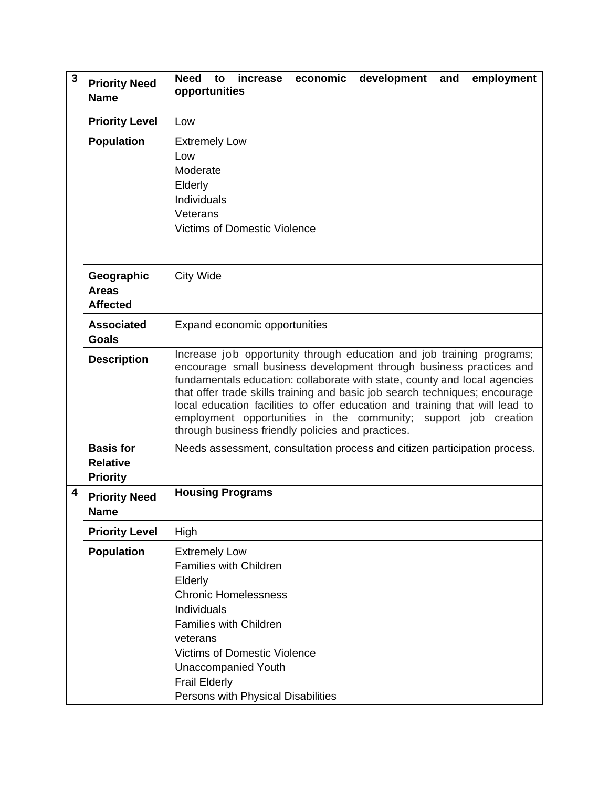| 3 | <b>Priority Need</b><br><b>Name</b>                    | to increase economic<br><b>Need</b><br>development and<br>employment<br>opportunities                                                                                                                                                                                                                                                                                                                                                                                                                            |
|---|--------------------------------------------------------|------------------------------------------------------------------------------------------------------------------------------------------------------------------------------------------------------------------------------------------------------------------------------------------------------------------------------------------------------------------------------------------------------------------------------------------------------------------------------------------------------------------|
|   | <b>Priority Level</b>                                  | Low                                                                                                                                                                                                                                                                                                                                                                                                                                                                                                              |
|   | <b>Population</b>                                      | <b>Extremely Low</b><br>Low<br>Moderate<br>Elderly<br>Individuals<br>Veterans<br><b>Victims of Domestic Violence</b>                                                                                                                                                                                                                                                                                                                                                                                             |
|   | Geographic<br><b>Areas</b><br><b>Affected</b>          | <b>City Wide</b>                                                                                                                                                                                                                                                                                                                                                                                                                                                                                                 |
|   | <b>Associated</b><br><b>Goals</b>                      | Expand economic opportunities                                                                                                                                                                                                                                                                                                                                                                                                                                                                                    |
|   | <b>Description</b>                                     | Increase job opportunity through education and job training programs;<br>encourage small business development through business practices and<br>fundamentals education: collaborate with state, county and local agencies<br>that offer trade skills training and basic job search techniques; encourage<br>local education facilities to offer education and training that will lead to<br>employment opportunities in the community; support job creation<br>through business friendly policies and practices. |
|   | <b>Basis for</b><br><b>Relative</b><br><b>Priority</b> | Needs assessment, consultation process and citizen participation process.                                                                                                                                                                                                                                                                                                                                                                                                                                        |
| 4 | <b>Priority Need</b><br><b>Name</b>                    | <b>Housing Programs</b>                                                                                                                                                                                                                                                                                                                                                                                                                                                                                          |
|   | <b>Priority Level</b>                                  | High                                                                                                                                                                                                                                                                                                                                                                                                                                                                                                             |
|   | <b>Population</b>                                      | <b>Extremely Low</b><br><b>Families with Children</b><br>Elderly<br><b>Chronic Homelessness</b><br>Individuals<br><b>Families with Children</b><br>veterans<br><b>Victims of Domestic Violence</b><br><b>Unaccompanied Youth</b><br><b>Frail Elderly</b><br>Persons with Physical Disabilities                                                                                                                                                                                                                   |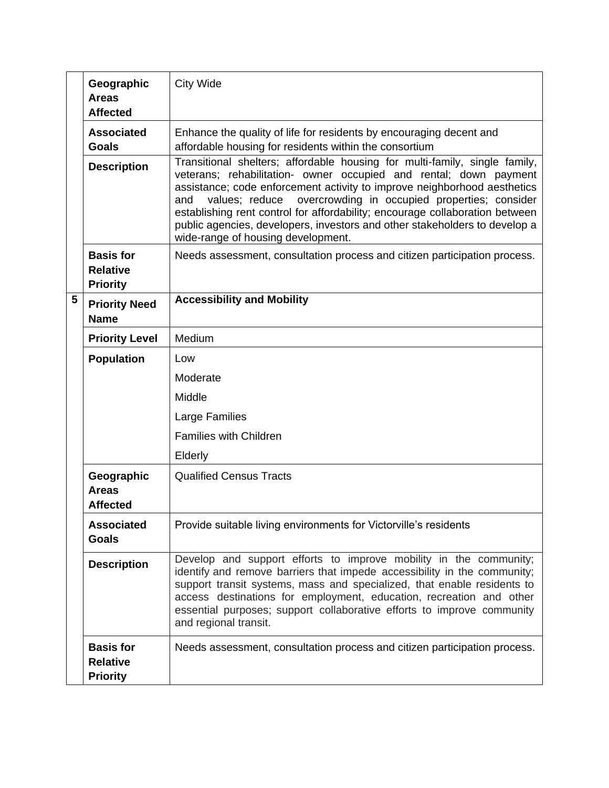|   | Geographic<br><b>Areas</b><br><b>Affected</b>          | <b>City Wide</b>                                                                                                                                                                                                                                                                                                                                                                                                                                                                                       |  |
|---|--------------------------------------------------------|--------------------------------------------------------------------------------------------------------------------------------------------------------------------------------------------------------------------------------------------------------------------------------------------------------------------------------------------------------------------------------------------------------------------------------------------------------------------------------------------------------|--|
|   | <b>Associated</b><br><b>Goals</b>                      | Enhance the quality of life for residents by encouraging decent and<br>affordable housing for residents within the consortium                                                                                                                                                                                                                                                                                                                                                                          |  |
|   | <b>Description</b>                                     | Transitional shelters; affordable housing for multi-family, single family,<br>veterans; rehabilitation- owner occupied and rental; down payment<br>assistance; code enforcement activity to improve neighborhood aesthetics<br>values; reduce overcrowding in occupied properties; consider<br>and<br>establishing rent control for affordability; encourage collaboration between<br>public agencies, developers, investors and other stakeholders to develop a<br>wide-range of housing development. |  |
|   | <b>Basis for</b><br><b>Relative</b><br><b>Priority</b> | Needs assessment, consultation process and citizen participation process.                                                                                                                                                                                                                                                                                                                                                                                                                              |  |
| 5 | <b>Priority Need</b><br><b>Name</b>                    | <b>Accessibility and Mobility</b>                                                                                                                                                                                                                                                                                                                                                                                                                                                                      |  |
|   | <b>Priority Level</b>                                  | Medium                                                                                                                                                                                                                                                                                                                                                                                                                                                                                                 |  |
|   | <b>Population</b>                                      | Low                                                                                                                                                                                                                                                                                                                                                                                                                                                                                                    |  |
|   |                                                        | Moderate                                                                                                                                                                                                                                                                                                                                                                                                                                                                                               |  |
|   |                                                        | Middle                                                                                                                                                                                                                                                                                                                                                                                                                                                                                                 |  |
|   |                                                        | Large Families                                                                                                                                                                                                                                                                                                                                                                                                                                                                                         |  |
|   |                                                        | <b>Families with Children</b>                                                                                                                                                                                                                                                                                                                                                                                                                                                                          |  |
|   |                                                        | Elderly                                                                                                                                                                                                                                                                                                                                                                                                                                                                                                |  |
|   | Geographic<br><b>Areas</b><br><b>Affected</b>          | <b>Qualified Census Tracts</b>                                                                                                                                                                                                                                                                                                                                                                                                                                                                         |  |
|   | <b>Associated</b><br><b>Goals</b>                      | Provide suitable living environments for Victorville's residents                                                                                                                                                                                                                                                                                                                                                                                                                                       |  |
|   | <b>Description</b>                                     | Develop and support efforts to improve mobility in the community;<br>identify and remove barriers that impede accessibility in the community;<br>support transit systems, mass and specialized, that enable residents to<br>access destinations for employment, education, recreation and other<br>essential purposes; support collaborative efforts to improve community<br>and regional transit.                                                                                                     |  |
|   | <b>Basis for</b><br><b>Relative</b><br><b>Priority</b> | Needs assessment, consultation process and citizen participation process.                                                                                                                                                                                                                                                                                                                                                                                                                              |  |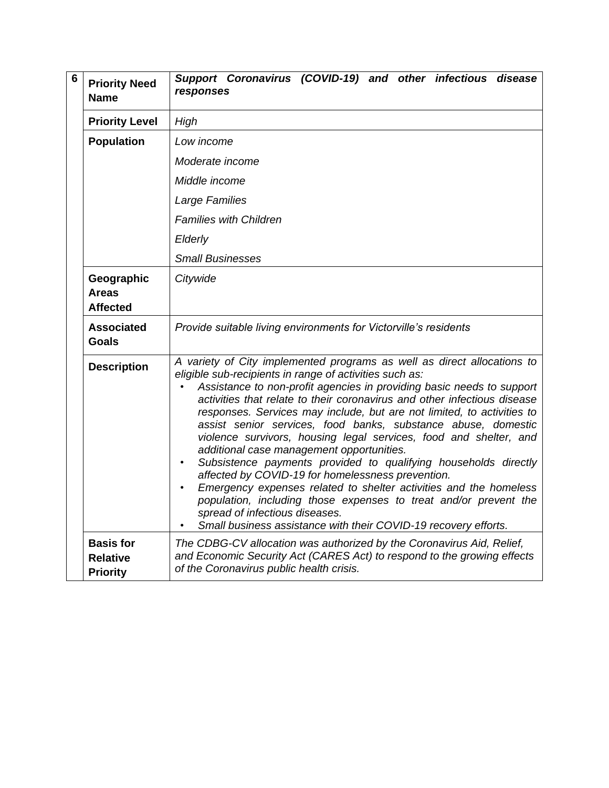| 6 | <b>Priority Need</b><br><b>Name</b>                    | Support Coronavirus (COVID-19) and other infectious disease<br>responses                                                                                                                                                                                                                                                                                                                                                                                                                                                                                                                                                                                                                                                                                                                                                                                                                                                   |
|---|--------------------------------------------------------|----------------------------------------------------------------------------------------------------------------------------------------------------------------------------------------------------------------------------------------------------------------------------------------------------------------------------------------------------------------------------------------------------------------------------------------------------------------------------------------------------------------------------------------------------------------------------------------------------------------------------------------------------------------------------------------------------------------------------------------------------------------------------------------------------------------------------------------------------------------------------------------------------------------------------|
|   | <b>Priority Level</b>                                  | High                                                                                                                                                                                                                                                                                                                                                                                                                                                                                                                                                                                                                                                                                                                                                                                                                                                                                                                       |
|   | <b>Population</b>                                      | Low income                                                                                                                                                                                                                                                                                                                                                                                                                                                                                                                                                                                                                                                                                                                                                                                                                                                                                                                 |
|   |                                                        | Moderate income                                                                                                                                                                                                                                                                                                                                                                                                                                                                                                                                                                                                                                                                                                                                                                                                                                                                                                            |
|   |                                                        | Middle income                                                                                                                                                                                                                                                                                                                                                                                                                                                                                                                                                                                                                                                                                                                                                                                                                                                                                                              |
|   |                                                        | Large Families                                                                                                                                                                                                                                                                                                                                                                                                                                                                                                                                                                                                                                                                                                                                                                                                                                                                                                             |
|   |                                                        | <b>Families with Children</b>                                                                                                                                                                                                                                                                                                                                                                                                                                                                                                                                                                                                                                                                                                                                                                                                                                                                                              |
|   |                                                        | Elderly                                                                                                                                                                                                                                                                                                                                                                                                                                                                                                                                                                                                                                                                                                                                                                                                                                                                                                                    |
|   |                                                        | <b>Small Businesses</b>                                                                                                                                                                                                                                                                                                                                                                                                                                                                                                                                                                                                                                                                                                                                                                                                                                                                                                    |
|   | Geographic<br><b>Areas</b><br><b>Affected</b>          | Citywide                                                                                                                                                                                                                                                                                                                                                                                                                                                                                                                                                                                                                                                                                                                                                                                                                                                                                                                   |
|   | <b>Associated</b><br><b>Goals</b>                      | Provide suitable living environments for Victorville's residents                                                                                                                                                                                                                                                                                                                                                                                                                                                                                                                                                                                                                                                                                                                                                                                                                                                           |
|   | <b>Description</b>                                     | A variety of City implemented programs as well as direct allocations to<br>eligible sub-recipients in range of activities such as:<br>Assistance to non-profit agencies in providing basic needs to support<br>activities that relate to their coronavirus and other infectious disease<br>responses. Services may include, but are not limited, to activities to<br>assist senior services, food banks, substance abuse, domestic<br>violence survivors, housing legal services, food and shelter, and<br>additional case management opportunities.<br>Subsistence payments provided to qualifying households directly<br>affected by COVID-19 for homelessness prevention.<br>Emergency expenses related to shelter activities and the homeless<br>population, including those expenses to treat and/or prevent the<br>spread of infectious diseases.<br>Small business assistance with their COVID-19 recovery efforts. |
|   | <b>Basis for</b><br><b>Relative</b><br><b>Priority</b> | The CDBG-CV allocation was authorized by the Coronavirus Aid, Relief,<br>and Economic Security Act (CARES Act) to respond to the growing effects<br>of the Coronavirus public health crisis.                                                                                                                                                                                                                                                                                                                                                                                                                                                                                                                                                                                                                                                                                                                               |